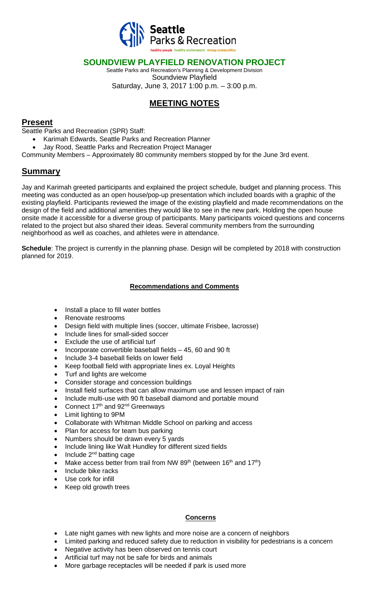

### **SOUNDVIEW PLAYFIELD RENOVATION PROJECT**

Seattle Parks and Recreation's Planning & Development Division Soundview Playfield Saturday, June 3, 2017 1:00 p.m. – 3:00 p.m.

## **MEETING NOTES**

#### **Present**

Seattle Parks and Recreation (SPR) Staff:

- Karimah Edwards, Seattle Parks and Recreation Planner
- Jay Rood, Seattle Parks and Recreation Project Manager
- Community Members Approximately 80 community members stopped by for the June 3rd event.

## **Summary**

Jay and Karimah greeted participants and explained the project schedule, budget and planning process. This meeting was conducted as an open house/pop-up presentation which included boards with a graphic of the existing playfield. Participants reviewed the image of the existing playfield and made recommendations on the design of the field and additional amenities they would like to see in the new park. Holding the open house onsite made it accessible for a diverse group of participants. Many participants voiced questions and concerns related to the project but also shared their ideas. Several community members from the surrounding neighborhood as well as coaches, and athletes were in attendance.

**Schedule**: The project is currently in the planning phase. Design will be completed by 2018 with construction planned for 2019.

#### **Recommendations and Comments**

- Install a place to fill water bottles
- Renovate restrooms
- Design field with multiple lines (soccer, ultimate Frisbee, lacrosse)
- Include lines for small-sided soccer
- Exclude the use of artificial turf
- Incorporate convertible baseball fields 45, 60 and 90 ft
- Include 3-4 baseball fields on lower field
- Keep football field with appropriate lines ex. Loyal Heights
- Turf and lights are welcome
- Consider storage and concession buildings
- Install field surfaces that can allow maximum use and lessen impact of rain
- Include multi-use with 90 ft baseball diamond and portable mound
- Connect  $17<sup>th</sup>$  and  $92<sup>nd</sup>$  Greenways
- Limit lighting to 9PM
- Collaborate with Whitman Middle School on parking and access
- Plan for access for team bus parking
- Numbers should be drawn every 5 yards
- Include lining like Walt Hundley for different sized fields
- Include  $2^{nd}$  batting cage
- Make access better from trail from NW 89<sup>th</sup> (between 16<sup>th</sup> and 17<sup>th</sup>)
- Include bike racks
- Use cork for infill
- Keep old growth trees

#### **Concerns**

- Late night games with new lights and more noise are a concern of neighbors
- Limited parking and reduced safety due to reduction in visibility for pedestrians is a concern
- Negative activity has been observed on tennis court
- Artificial turf may not be safe for birds and animals
- More garbage receptacles will be needed if park is used more